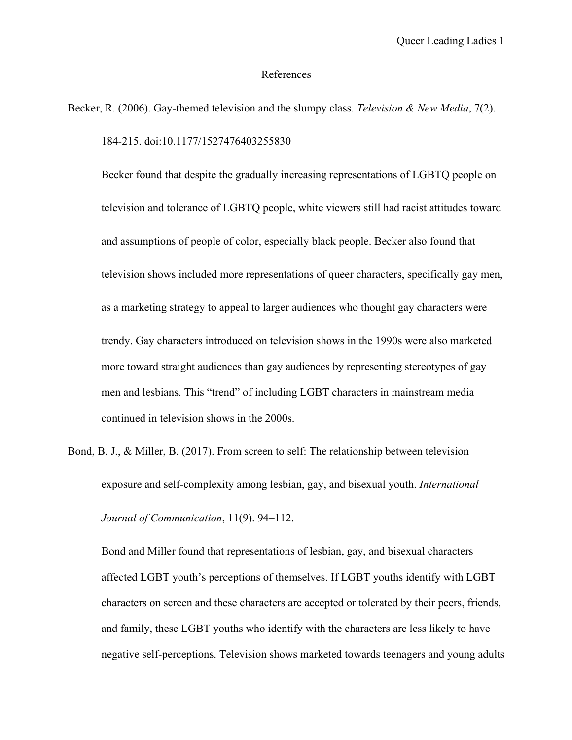## References

Becker, R. (2006). Gay-themed television and the slumpy class. *Television & New Media*, 7(2). 184-215. doi:10.1177/1527476403255830

Becker found that despite the gradually increasing representations of LGBTQ people on television and tolerance of LGBTQ people, white viewers still had racist attitudes toward and assumptions of people of color, especially black people. Becker also found that television shows included more representations of queer characters, specifically gay men, as a marketing strategy to appeal to larger audiences who thought gay characters were trendy. Gay characters introduced on television shows in the 1990s were also marketed more toward straight audiences than gay audiences by representing stereotypes of gay men and lesbians. This "trend" of including LGBT characters in mainstream media continued in television shows in the 2000s.

Bond, B. J., & Miller, B. (2017). From screen to self: The relationship between television exposure and self-complexity among lesbian, gay, and bisexual youth. *International Journal of Communication*, 11(9). 94–112.

Bond and Miller found that representations of lesbian, gay, and bisexual characters affected LGBT youth's perceptions of themselves. If LGBT youths identify with LGBT characters on screen and these characters are accepted or tolerated by their peers, friends, and family, these LGBT youths who identify with the characters are less likely to have negative self-perceptions. Television shows marketed towards teenagers and young adults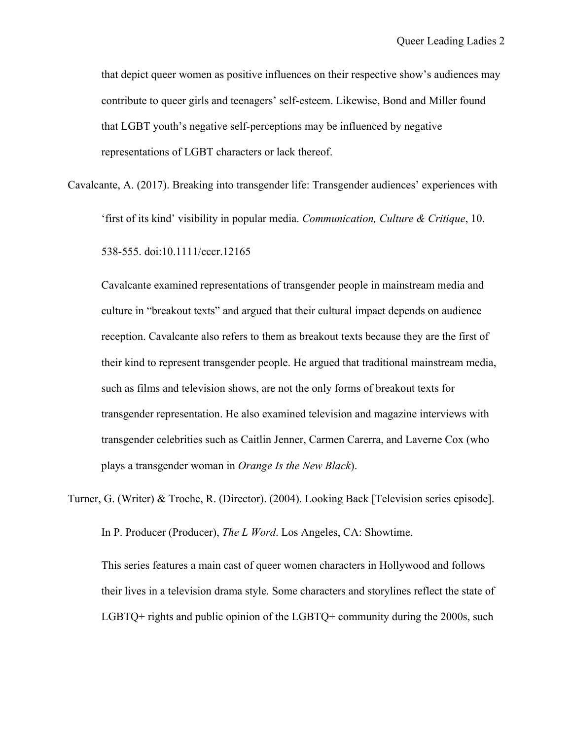that depict queer women as positive influences on their respective show's audiences may contribute to queer girls and teenagers' self-esteem. Likewise, Bond and Miller found that LGBT youth's negative self-perceptions may be influenced by negative representations of LGBT characters or lack thereof.

Cavalcante, A. (2017). Breaking into transgender life: Transgender audiences' experiences with 'first of its kind' visibility in popular media. *Communication, Culture & Critique*, 10. 538-555. doi:10.1111/cccr.12165

Cavalcante examined representations of transgender people in mainstream media and culture in "breakout texts" and argued that their cultural impact depends on audience reception. Cavalcante also refers to them as breakout texts because they are the first of their kind to represent transgender people. He argued that traditional mainstream media, such as films and television shows, are not the only forms of breakout texts for transgender representation. He also examined television and magazine interviews with transgender celebrities such as Caitlin Jenner, Carmen Carerra, and Laverne Cox (who plays a transgender woman in *Orange Is the New Black*).

Turner, G. (Writer) & Troche, R. (Director). (2004). Looking Back [Television series episode]. In P. Producer (Producer), *The L Word*. Los Angeles, CA: Showtime. This series features a main cast of queer women characters in Hollywood and follows their lives in a television drama style. Some characters and storylines reflect the state of LGBTQ+ rights and public opinion of the LGBTQ+ community during the 2000s, such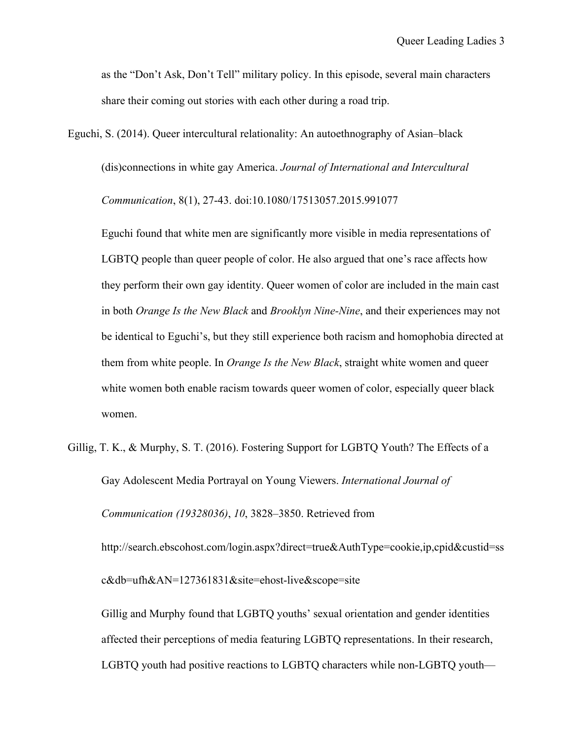as the "Don't Ask, Don't Tell" military policy. In this episode, several main characters share their coming out stories with each other during a road trip.

Eguchi, S. (2014). Queer intercultural relationality: An autoethnography of Asian–black (dis)connections in white gay America. *Journal of International and Intercultural Communication*, 8(1), 27-43. doi:10.1080/17513057.2015.991077

Eguchi found that white men are significantly more visible in media representations of LGBTQ people than queer people of color. He also argued that one's race affects how they perform their own gay identity. Queer women of color are included in the main cast in both *Orange Is the New Black* and *Brooklyn Nine-Nine*, and their experiences may not be identical to Eguchi's, but they still experience both racism and homophobia directed at them from white people. In *Orange Is the New Black*, straight white women and queer white women both enable racism towards queer women of color, especially queer black women.

Gillig, T. K., & Murphy, S. T. (2016). Fostering Support for LGBTQ Youth? The Effects of a Gay Adolescent Media Portrayal on Young Viewers. *International Journal of Communication (19328036)*, *10*, 3828–3850. Retrieved from http://search.ebscohost.com/login.aspx?direct=true&AuthType=cookie,ip,cpid&custid=ss c&db=ufh&AN=127361831&site=ehost-live&scope=site

Gillig and Murphy found that LGBTQ youths' sexual orientation and gender identities affected their perceptions of media featuring LGBTQ representations. In their research, LGBTQ youth had positive reactions to LGBTQ characters while non-LGBTQ youth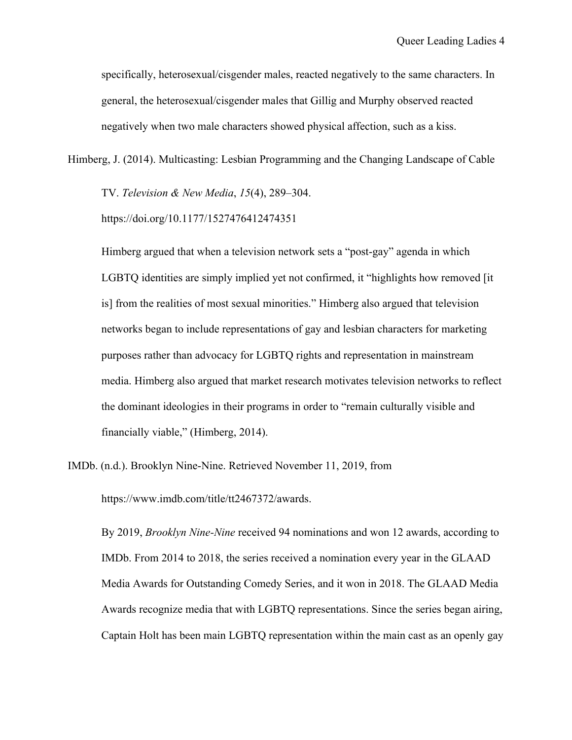specifically, heterosexual/cisgender males, reacted negatively to the same characters. In general, the heterosexual/cisgender males that Gillig and Murphy observed reacted negatively when two male characters showed physical affection, such as a kiss.

Himberg, J. (2014). Multicasting: Lesbian Programming and the Changing Landscape of Cable

TV. *Television & New Media*, *15*(4), 289–304.

https://doi.org/10.1177/1527476412474351

Himberg argued that when a television network sets a "post-gay" agenda in which LGBTQ identities are simply implied yet not confirmed, it "highlights how removed [it is] from the realities of most sexual minorities." Himberg also argued that television networks began to include representations of gay and lesbian characters for marketing purposes rather than advocacy for LGBTQ rights and representation in mainstream media. Himberg also argued that market research motivates television networks to reflect the dominant ideologies in their programs in order to "remain culturally visible and financially viable," (Himberg, 2014).

IMDb. (n.d.). Brooklyn Nine-Nine. Retrieved November 11, 2019, from

https://www.imdb.com/title/tt2467372/awards.

By 2019, *Brooklyn Nine-Nine* received 94 nominations and won 12 awards, according to IMDb. From 2014 to 2018, the series received a nomination every year in the GLAAD Media Awards for Outstanding Comedy Series, and it won in 2018. The GLAAD Media Awards recognize media that with LGBTQ representations. Since the series began airing, Captain Holt has been main LGBTQ representation within the main cast as an openly gay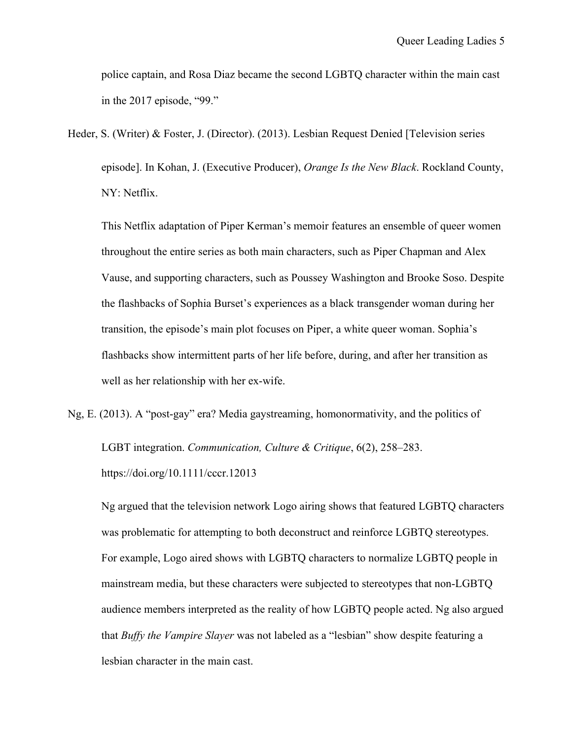police captain, and Rosa Diaz became the second LGBTQ character within the main cast in the 2017 episode, "99."

Heder, S. (Writer) & Foster, J. (Director). (2013). Lesbian Request Denied [Television series episode]. In Kohan, J. (Executive Producer), *Orange Is the New Black*. Rockland County, NY: Netflix.

This Netflix adaptation of Piper Kerman's memoir features an ensemble of queer women throughout the entire series as both main characters, such as Piper Chapman and Alex Vause, and supporting characters, such as Poussey Washington and Brooke Soso. Despite the flashbacks of Sophia Burset's experiences as a black transgender woman during her transition, the episode's main plot focuses on Piper, a white queer woman. Sophia's flashbacks show intermittent parts of her life before, during, and after her transition as well as her relationship with her ex-wife.

Ng, E. (2013). A "post-gay" era? Media gaystreaming, homonormativity, and the politics of

LGBT integration. *Communication, Culture & Critique*, 6(2), 258–283. https://doi.org/10.1111/cccr.12013

Ng argued that the television network Logo airing shows that featured LGBTQ characters was problematic for attempting to both deconstruct and reinforce LGBTQ stereotypes. For example, Logo aired shows with LGBTQ characters to normalize LGBTQ people in mainstream media, but these characters were subjected to stereotypes that non-LGBTQ audience members interpreted as the reality of how LGBTQ people acted. Ng also argued that *Buffy the Vampire Slayer* was not labeled as a "lesbian" show despite featuring a lesbian character in the main cast.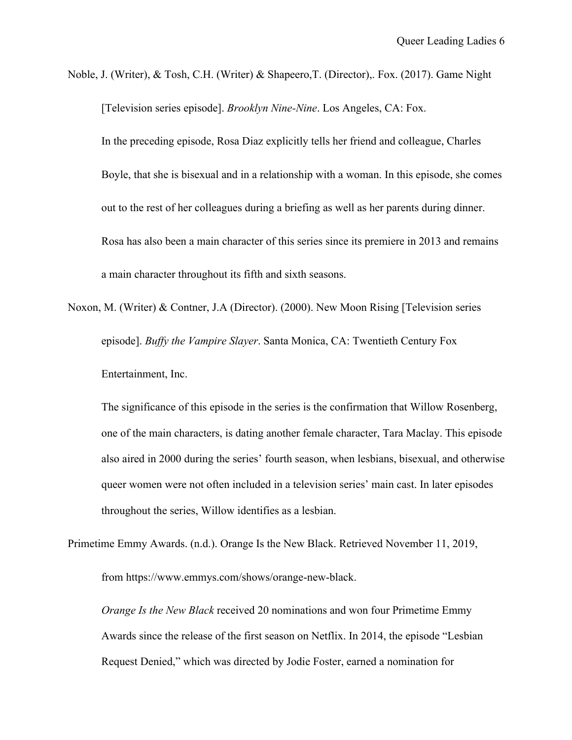Noble, J. (Writer), & Tosh, C.H. (Writer) & Shapeero,T. (Director),. Fox. (2017). Game Night [Television series episode]. *Brooklyn Nine-Nine*. Los Angeles, CA: Fox.

In the preceding episode, Rosa Diaz explicitly tells her friend and colleague, Charles Boyle, that she is bisexual and in a relationship with a woman. In this episode, she comes out to the rest of her colleagues during a briefing as well as her parents during dinner. Rosa has also been a main character of this series since its premiere in 2013 and remains a main character throughout its fifth and sixth seasons.

Noxon, M. (Writer) & Contner, J.A (Director). (2000). New Moon Rising [Television series episode]. *Buffy the Vampire Slayer*. Santa Monica, CA: Twentieth Century Fox Entertainment, Inc.

The significance of this episode in the series is the confirmation that Willow Rosenberg, one of the main characters, is dating another female character, Tara Maclay. This episode also aired in 2000 during the series' fourth season, when lesbians, bisexual, and otherwise queer women were not often included in a television series' main cast. In later episodes throughout the series, Willow identifies as a lesbian.

Primetime Emmy Awards. (n.d.). Orange Is the New Black. Retrieved November 11, 2019,

from https://www.emmys.com/shows/orange-new-black.

*Orange Is the New Black* received 20 nominations and won four Primetime Emmy Awards since the release of the first season on Netflix. In 2014, the episode "Lesbian Request Denied," which was directed by Jodie Foster, earned a nomination for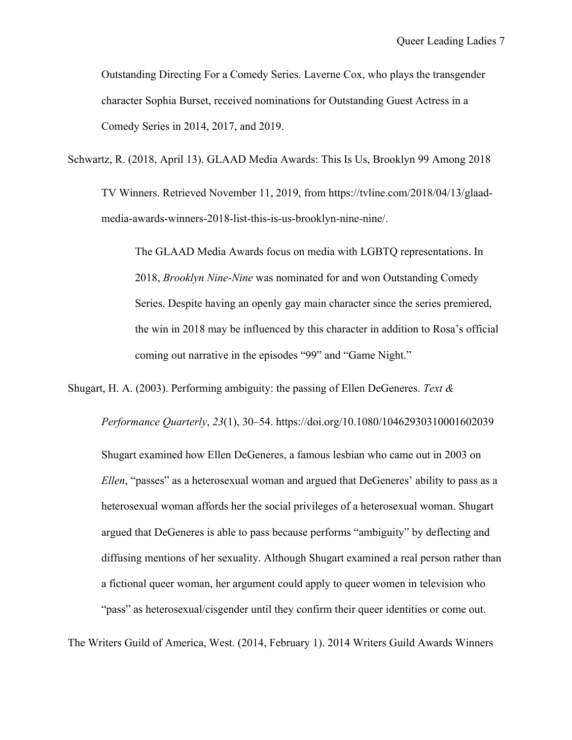Outstanding Directing For a Comedy Series. Laverne Cox, who plays the transgender character Sophia Burset, received nominations for Outstanding Guest Actress in a Comedy Series in 2014, 2017, and 2019.

Schwartz, R. (2018, April 13). GLAAD Media Awards: This Is Us, Brooklyn 99 Among 2018

TV Winners. Retrieved November 11, 2019, from https://tvline.com/2018/04/13/glaadmedia-awards-winners-2018-list-this-is-us-brooklyn-nine-nine/.

The GLAAD Media Awards focus on media with LGBTQ representations. In 2018, *Brooklyn Nine-Nine* was nominated for and won Outstanding Comedy Series. Despite having an openly gay main character since the series premiered, the win in 2018 may be influenced by this character in addition to Rosa's official coming out narrative in the episodes "99" and "Game Night."

Shugart, H. A. (2003). Performing ambiguity: the passing of Ellen DeGeneres. *Text &* 

*Performance Quarterly*, *23*(1), 30–54. https://doi.org/10.1080/10462930310001602039 Shugart examined how Ellen DeGeneres, a famous lesbian who came out in 2003 on *Ellen*, "passes" as a heterosexual woman and argued that DeGeneres' ability to pass as a heterosexual woman affords her the social privileges of a heterosexual woman. Shugart argued that DeGeneres is able to pass because performs "ambiguity" by deflecting and diffusing mentions of her sexuality. Although Shugart examined a real person rather than a fictional queer woman, her argument could apply to queer women in television who "pass" as heterosexual/cisgender until they confirm their queer identities or come out.

The Writers Guild of America, West. (2014, February 1). 2014 Writers Guild Awards Winners